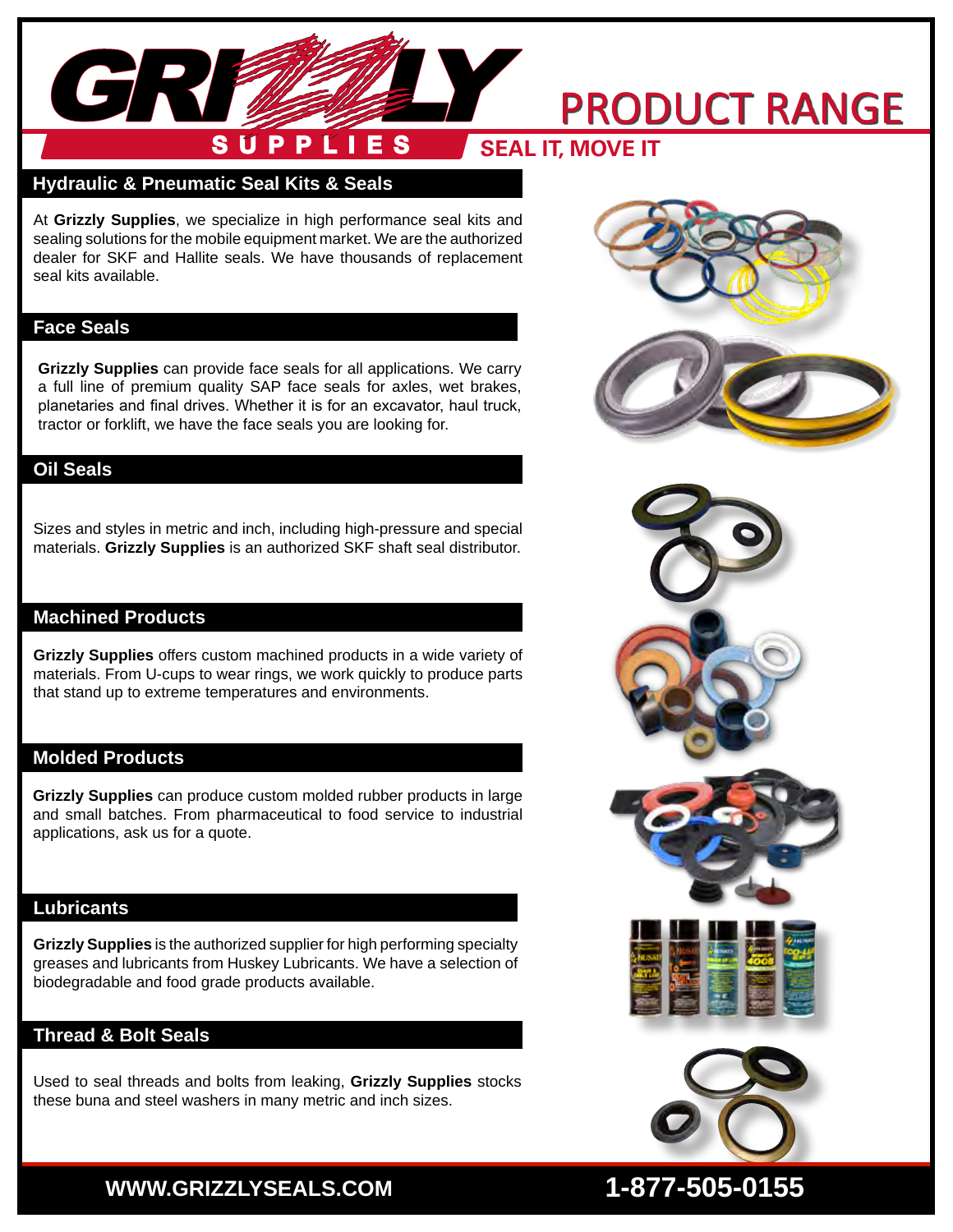#### PRODUCT RANGE **SUPPLIES SEAL IT, MOVE ITContract**

### **Hydraulic & Pneumatic Seal Kits & Seals**

At **Grizzly Supplies**, we specialize in high performance seal kits and sealing solutions for the mobile equipment market. We are the authorized dealer for SKF and Hallite seals. We have thousands of replacement seal kits available.

### **Face Seals**

GR

**Grizzly Supplies** can provide face seals for all applications. We carry a full line of premium quality SAP face seals for axles, wet brakes, planetaries and final drives. Whether it is for an excavator, haul truck, tractor or forklift, we have the face seals you are looking for.

## **Oil Seals**

Sizes and styles in metric and inch, including high-pressure and special materials. **Grizzly Supplies** is an authorized SKF shaft seal distributor.

### **Machined Products**

**Grizzly Supplies** offers custom machined products in a wide variety of materials. From U-cups to wear rings, we work quickly to produce parts that stand up to extreme temperatures and environments.

### **Molded Products**

**Grizzly Supplies** can produce custom molded rubber products in large and small batches. From pharmaceutical to food service to industrial applications, ask us for a quote.

### **Lubricants**

**Grizzly Supplies** is the authorized supplier for high performing specialty greases and lubricants from Huskey Lubricants. We have a selection of biodegradable and food grade products available.

## **Thread & Bolt Seals**

Used to seal threads and bolts from leaking, **Grizzly Supplies** stocks these buna and steel washers in many metric and inch sizes.





# **WWW.GRIZZLYSEALS.COM 1-877-505-0155**